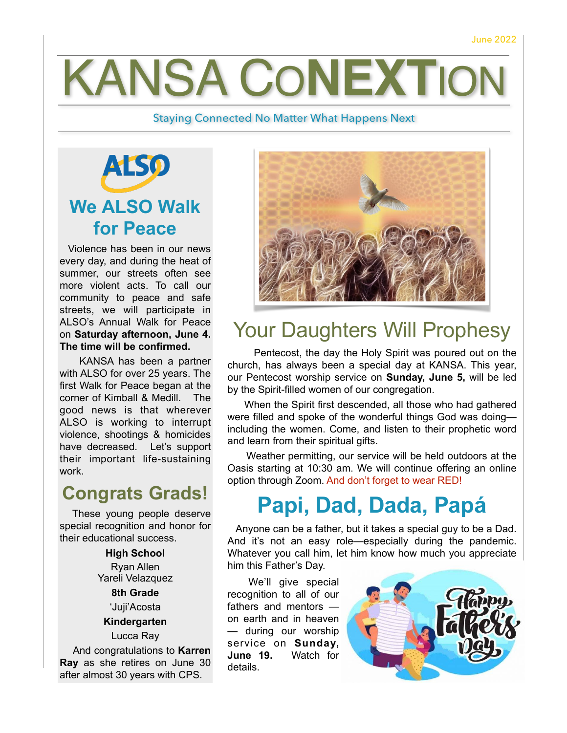# **KANSA CONEXTIC**

#### Staying Connected No Matter What Happens Next



 Violence has been in our news every day, and during the heat of summer, our streets often see more violent acts. To call our community to peace and safe streets, we will participate in ALSO's Annual Walk for Peace on **Saturday afternoon, June 4. The time will be confirmed.**

KANSA has been a partner with ALSO for over 25 years. The first Walk for Peace began at the corner of Kimball & Medill. The good news is that wherever ALSO is working to interrupt violence, shootings & homicides have decreased. Let's support their important life-sustaining work.

### **Congrats Grads!**

 These young people deserve special recognition and honor for their educational success.

> **High School** Ryan Allen Yareli Velazquez

**8th Grade** 'Juji'Acosta **Kindergarten** Lucca Ray

And congratulations to **Karren** 

**Ray** as she retires on June 30 after almost 30 years with CPS.



## Your Daughters Will Prophesy

 Pentecost, the day the Holy Spirit was poured out on the church, has always been a special day at KANSA. This year, our Pentecost worship service on **Sunday, June 5,** will be led by the Spirit-filled women of our congregation.

 When the Spirit first descended, all those who had gathered were filled and spoke of the wonderful things God was doing including the women. Come, and listen to their prophetic word and learn from their spiritual gifts.

 Weather permitting, our service will be held outdoors at the Oasis starting at 10:30 am. We will continue offering an online option through Zoom. And don't forget to wear RED!

# **Papi, Dad, Dada, Papá**

 Anyone can be a father, but it takes a special guy to be a Dad. And it's not an easy role—especially during the pandemic. Whatever you call him, let him know how much you appreciate him this Father's Day.

 We'll give special recognition to all of our fathers and mentors on earth and in heaven — during our worship service on **Sunday, June 19.** Watch for details.